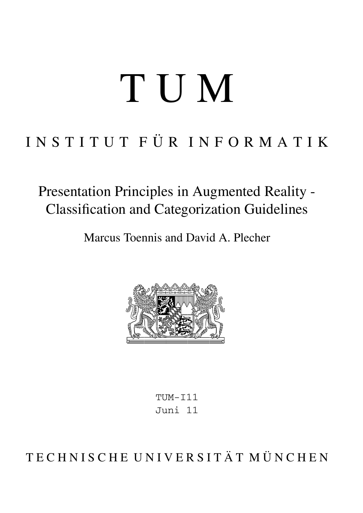# TUM

## INSTITUT FÜR INFORMATIK

Presentation Principles in Augmented Reality - Classification and Categorization Guidelines

Marcus Toennis and David A. Plecher



TUM-I11 Juni 11

TECHNISCHE UNIVERSITÄT MÜNCHEN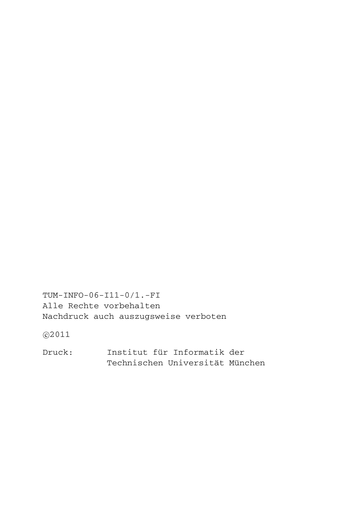TUM-INFO-06-I11-0/1.-FI Alle Rechte vorbehalten Nachdruck auch auszugsweise verboten

©2011

Druck: Institut für Informatik der Technischen Universität München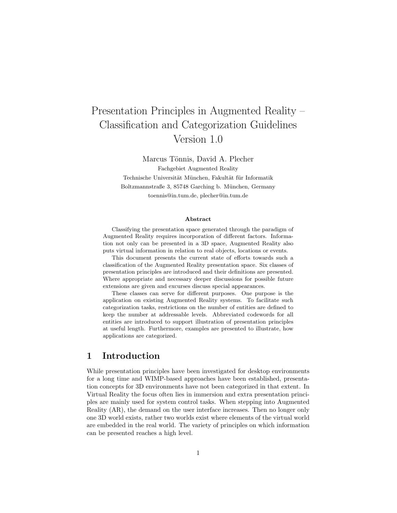## Presentation Principles in Augmented Reality – Classification and Categorization Guidelines Version 1.0

Marcus Tönnis, David A. Plecher Fachgebiet Augmented Reality Technische Universität München, Fakultät für Informatik Boltzmannstraße 3, 85748 Garching b. München, Germany toennis@in.tum.de, plecher@in.tum.de

#### Abstract

Classifying the presentation space generated through the paradigm of Augmented Reality requires incorporation of different factors. Information not only can be presented in a 3D space, Augmented Reality also puts virtual information in relation to real objects, locations or events.

This document presents the current state of efforts towards such a classification of the Augmented Reality presentation space. Six classes of presentation principles are introduced and their definitions are presented. Where appropriate and necessary deeper discussions for possible future extensions are given and excurses discuss special appearances.

These classes can serve for different purposes. One purpose is the application on existing Augmented Reality systems. To facilitate such categorization tasks, restrictions on the number of entities are defined to keep the number at addressable levels. Abbreviated codewords for all entities are introduced to support illustration of presentation principles at useful length. Furthermore, examples are presented to illustrate, how applications are categorized.

#### 1 Introduction

While presentation principles have been investigated for desktop environments for a long time and WIMP-based approaches have been established, presentation concepts for 3D environments have not been categorized in that extent. In Virtual Reality the focus often lies in immersion and extra presentation principles are mainly used for system control tasks. When stepping into Augmented Reality (AR), the demand on the user interface increases. Then no longer only one 3D world exists, rather two worlds exist where elements of the virtual world are embedded in the real world. The variety of principles on which information can be presented reaches a high level.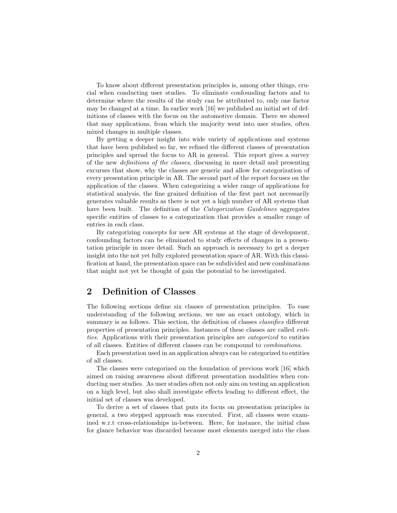To know about different presentation principles is, among other things, crucial when conducting user studies. To eliminate confounding factors and to determine where the results of the study can be attributed to, only one factor may be changed at a time. In earlier work [16] we published an initial set of definitions of classes with the focus on the automotive domain. There we showed that may applications, from which the majority went into user studies, often mixed changes in multiple classes.

By getting a deeper insight into wide variety of applications and systems that have been published so far, we refined the different classes of presentation principles and spread the focus to AR in general. This report gives a survey of the new definitions of the classes, discussing in more detail and presenting excurses that show, why the classes are generic and allow for categorization of every presentation principle in AR. The second part of the report focuses on the application of the classes. When categorizing a wider range of applications for statistical analysis, the fine grained definition of the first part not necessarily generates valuable results as there is not yet a high number of AR systems that have been built. The definition of the *Categorization Guidelines* aggregates specific entities of classes to a categorization that provides a smaller range of entries in each class.

By categorizing concepts for new AR systems at the stage of development, confounding factors can be eliminated to study effects of changes in a presentation principle in more detail. Such an approach is necessary to get a deeper insight into the not yet fully explored presentation space of AR. With this classification at hand, the presentation space can be subdivided and new combinations that might not yet be thought of gain the potential to be investigated.

#### 2 Definition of Classes

The following sections define six classes of presentation principles. To ease understanding of the following sections, we use an exact ontology, which in summary is as follows. This section, the definition of classes *classifies* different properties of presentation principles. Instances of these classes are called entities. Applications with their presentation principles are categorized to entities of all classes. Entities of different classes can be compound to combinations.

Each presentation used in an application always can be categorized to entities of all classes.

The classes were categorized on the foundation of previous work [16] which aimed on raising awareness about different presentation modalities when conducting user studies. As user studies often not only aim on testing an application on a high level, but also shall investigate effects leading to different effect, the initial set of classes was developed.

To derive a set of classes that puts its focus on presentation principles in general, a two stepped approach was executed. First, all classes were examined w.r.t cross-relationships in-between. Here, for instance, the initial class for glance behavior was discarded because most elements merged into the class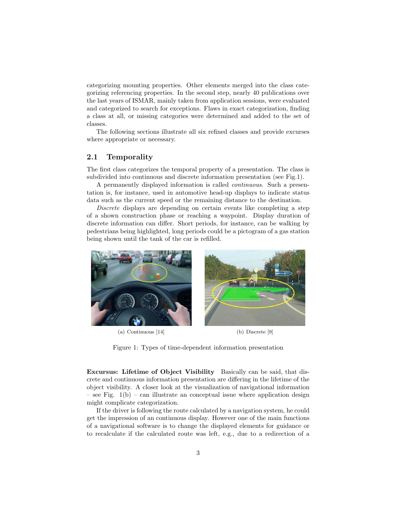categorizing mounting properties. Other elements merged into the class categorizing referencing properties. In the second step, nearly 40 publications over the last years of ISMAR, mainly taken from application sessions, were evaluated and categorized to search for exceptions. Flaws in exact categorization, finding a class at all, or missing categories were determined and added to the set of classes.

The following sections illustrate all six refined classes and provide excurses where appropriate or necessary.

#### 2.1 Temporality

The first class categorizes the temporal property of a presentation. The class is subdivided into continuous and discrete information presentation (see Fig.1).

A permanently displayed information is called continuous. Such a presentation is, for instance, used in automotive head-up displays to indicate status data such as the current speed or the remaining distance to the destination.

Discrete displays are depending on certain events like completing a step of a shown construction phase or reaching a waypoint. Display duration of discrete information can differ. Short periods, for instance, can be walking by pedestrians being highlighted, long periods could be a pictogram of a gas station being shown until the tank of the car is refilled.



(a) Continuous [14] (b) Discrete [9]



Figure 1: Types of time-dependent information presentation

Excursus: Lifetime of Object Visibility Basically can be said, that discrete and continuous information presentation are differing in the lifetime of the object visibility. A closer look at the visualization of navigational information – see Fig.  $1(b)$  – can illustrate an conceptual issue where application design might complicate categorization.

If the driver is following the route calculated by a navigation system, he could get the impression of an continuous display. However one of the main functions of a navigational software is to change the displayed elements for guidance or to recalculate if the calculated route was left, e.g., due to a redirection of a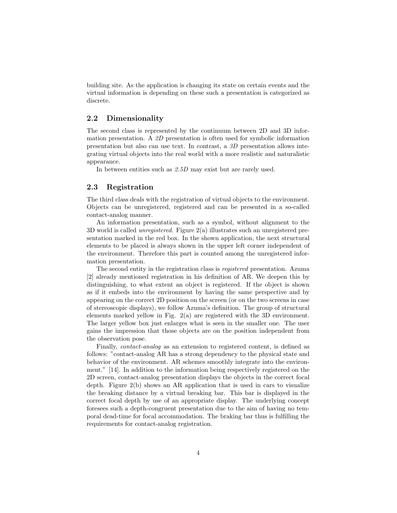building site. As the application is changing its state on certain events and the virtual information is depending on these such a presentation is categorized as discrete.

#### 2.2 Dimensionality

The second class is represented by the continuum between 2D and 3D information presentation. A 2D presentation is often used for symbolic information presentation but also can use text. In contrast, a 3D presentation allows integrating virtual objects into the real world with a more realistic and naturalistic appearance.

In between entities such as 2.5D may exist but are rarely used.

#### 2.3 Registration

The third class deals with the registration of virtual objects to the environment. Objects can be unregistered, registered and can be presented in a so-called contact-analog manner.

An information presentation, such as a symbol, without alignment to the 3D world is called unregistered. Figure 2(a) illustrates such an unregistered presentation marked in the red box. In the shown application, the next structural elements to be placed is always shown in the upper left corner independent of the environment. Therefore this part is counted among the unregistered information presentation.

The second entity in the registration class is registered presentation. Azuma [2] already mentioned registration in his definition of AR. We deepen this by distinguishing, to what extent an object is registered. If the object is shown as if it embeds into the environment by having the same perspective and by appearing on the correct 2D position on the screen (or on the two screens in case of stereoscopic displays), we follow Azuma's definition. The group of structural elements marked yellow in Fig. 2(a) are registered with the 3D environment. The larger yellow box just enlarges what is seen in the smaller one. The user gains the impression that those objects are on the position independent from the observation pose.

Finally, contact-analog as an extension to registered content, is defined as follows: "contact-analog AR has a strong dependency to the physical state and behavior of the environment. AR schemes smoothly integrate into the environment." [14]. In addition to the information being respectively registered on the 2D screen, contact-analog presentation displays the objects in the correct focal depth. Figure 2(b) shows an AR application that is used in cars to visualize the breaking distance by a virtual breaking bar. This bar is displayed in the correct focal depth by use of an appropriate display. The underlying concept foresees such a depth-congruent presentation due to the aim of having no temporal dead-time for focal accommodation. The braking bar thus is fulfilling the requirements for contact-analog registration.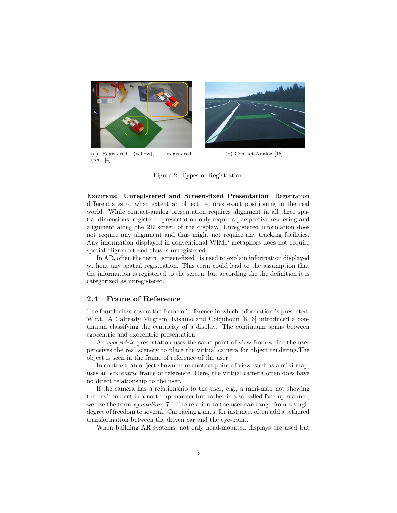

(a) Registered (yellow), Unregistered (red) [4]



(b) Contact-Analog [15]

Figure 2: Types of Registration

Excursus: Unregistered and Screen-fixed Presentation Registration differentiates to what extent an object requires exact positioning in the real world. While contact-analog presentation requires alignment in all three spatial dimensions, registered presentation only requires perspective rendering and alignment along the 2D screen of the display. Unregistered information does not require any alignment and thus might not require any tracking facilities. Any information displayed in conventional WIMP metaphors does not require spatial alignment and thus is unregistered.

In AR, often the term ,,screen-fixed " is used to explain information displayed without any spatial registration. This term could lead to the assumption that the information is registered to the screen, but according the the definition it is categorized as unregistered.

#### 2.4 Frame of Reference

The fourth class covers the frame of reference in which information is presented. W.r.t. AR already Milgram, Kishino and Colquhoun [8, 6] introduced a continuum classifying the centricity of a display. The continuum spans between egocentric and exocentric presentation.

An egocentric presentation uses the same point of view from which the user perceives the real scenery to place the virtual camera for object rendering.The object is seen in the frame of reference of the user.

In contrast, an object shown from another point of view, such as a mini-map, uses an exocentric frame of reference. Here, the virtual camera often does have no direct relationship to the user.

If the camera has a relationship to the user, e.g., a mini-map not showing the environment in a north-up manner but rather in a so-called face-up manner, we use the term egomotion [7]. The relation to the user can range from a single degree of freedom to several. Car racing games, for instance, often add a tethered transformation between the driven car and the eye-point.

When building AR systems, not only head-mounted displays are used but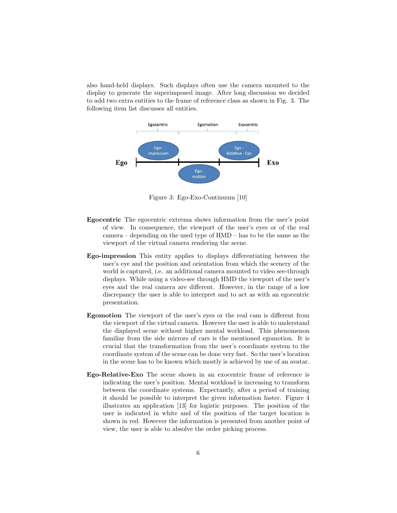also hand-held displays. Such displays often use the camera mounted to the display to generate the superimposed image. After long discussion we decided to add two extra entities to the frame of reference class as shown in Fig. 3. The following item list discusses all entities.



Figure 3: Ego-Exo-Continuum [10]

- Egocentric The egocentric extrema shows information from the user's point of view. In consequence, the viewport of the user's eyes or of the real camera – depending on the used type of HMD – has to be the same as the viewport of the virtual camera rendering the scene.
- Ego-impression This entity applies to displays differentiating between the user's eye and the position and orientation from which the scenery of the world is captured, i.e. an additional camera mounted to video see-through displays. While using a video-see through HMD the viewport of the user's eyes and the real camera are different. However, in the range of a low discrepancy the user is able to interpret and to act as with an egocentric presentation.
- Egomotion The viewport of the user's eyes or the real cam is different from the viewport of the virtual camera. However the user is able to understand the displayed scene without higher mental workload. This phenomenon familiar from the side mirrors of cars is the mentioned egomotion. It is crucial that the transformation from the user's coordinate system to the coordinate system of the scene can be done very fast. So the user's location in the scene has to be known which mostly is achieved by use of an avatar.
- Ego-Relative-Exo The scene shown in an exocentric frame of reference is indicating the user's position. Mental workload is increasing to transform between the coordinate systems. Expectantly, after a period of training it should be possible to interpret the given information faster. Figure 4 illustrates an application [13] for logistic purposes. The position of the user is indicated in white and of the position of the target location is shown in red. However the information is presented from another point of view, the user is able to absolve the order picking process.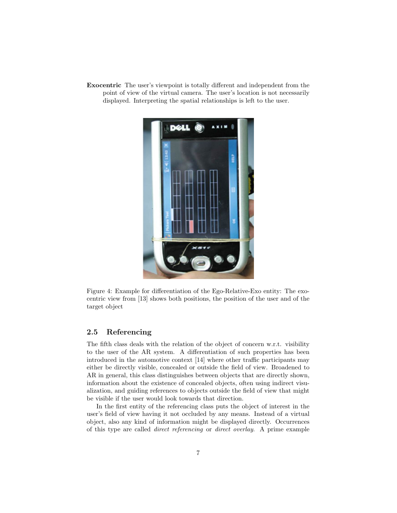Exocentric The user's viewpoint is totally different and independent from the point of view of the virtual camera. The user's location is not necessarily displayed. Interpreting the spatial relationships is left to the user.



Figure 4: Example for differentiation of the Ego-Relative-Exo entity: The exocentric view from [13] shows both positions, the position of the user and of the target object

#### 2.5 Referencing

The fifth class deals with the relation of the object of concern w.r.t. visibility to the user of the AR system. A differentiation of such properties has been introduced in the automotive context [14] where other traffic participants may either be directly visible, concealed or outside the field of view. Broadened to AR in general, this class distinguishes between objects that are directly shown, information about the existence of concealed objects, often using indirect visualization, and guiding references to objects outside the field of view that might be visible if the user would look towards that direction.

In the first entity of the referencing class puts the object of interest in the user's field of view having it not occluded by any means. Instead of a virtual object, also any kind of information might be displayed directly. Occurrences of this type are called direct referencing or direct overlay. A prime example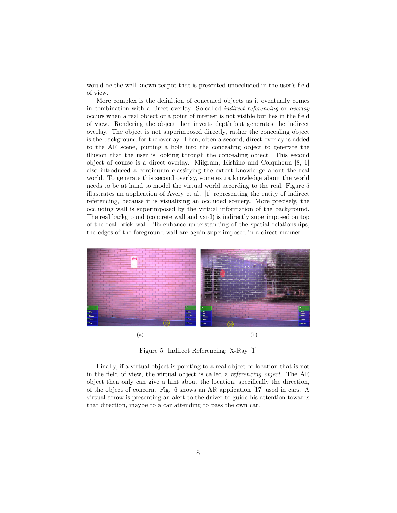would be the well-known teapot that is presented unoccluded in the user's field of view.

More complex is the definition of concealed objects as it eventually comes in combination with a direct overlay. So-called indirect referencing or overlay occurs when a real object or a point of interest is not visible but lies in the field of view. Rendering the object then inverts depth but generates the indirect overlay. The object is not superimposed directly, rather the concealing object is the background for the overlay. Then, often a second, direct overlay is added to the AR scene, putting a hole into the concealing object to generate the illusion that the user is looking through the concealing object. This second object of course is a direct overlay. Milgram, Kishino and Colquhoun [8, 6] also introduced a continuum classifying the extent knowledge about the real world. To generate this second overlay, some extra knowledge about the world needs to be at hand to model the virtual world according to the real. Figure 5 illustrates an application of Avery et al. [1] representing the entity of indirect referencing, because it is visualizing an occluded scenery. More precisely, the occluding wall is superimposed by the virtual information of the background. The real background (concrete wall and yard) is indirectly superimposed on top of the real brick wall. To enhance understanding of the spatial relationships, the edges of the foreground wall are again superimposed in a direct manner.



Figure 5: Indirect Referencing: X-Ray [1]

Finally, if a virtual object is pointing to a real object or location that is not in the field of view, the virtual object is called a referencing object. The AR object then only can give a hint about the location, specifically the direction, of the object of concern. Fig. 6 shows an AR application [17] used in cars. A virtual arrow is presenting an alert to the driver to guide his attention towards that direction, maybe to a car attending to pass the own car.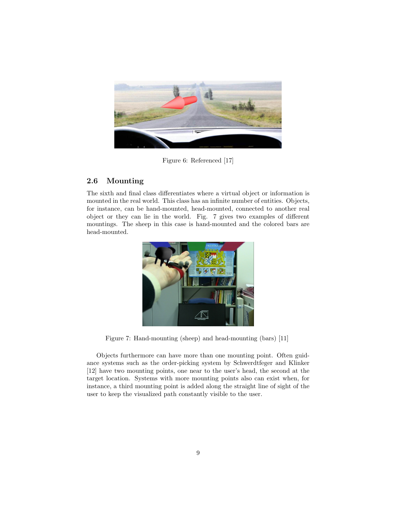

Figure 6: Referenced [17]

#### 2.6 Mounting

The sixth and final class differentiates where a virtual object or information is mounted in the real world. This class has an infinite number of entities. Objects, for instance, can be hand-mounted, head-mounted, connected to another real object or they can lie in the world. Fig. 7 gives two examples of different mountings. The sheep in this case is hand-mounted and the colored bars are head-mounted.



Figure 7: Hand-mounting (sheep) and head-mounting (bars) [11]

Objects furthermore can have more than one mounting point. Often guidance systems such as the order-picking system by Schwerdtfeger and Klinker [12] have two mounting points, one near to the user's head, the second at the target location. Systems with more mounting points also can exist when, for instance, a third mounting point is added along the straight line of sight of the user to keep the visualized path constantly visible to the user.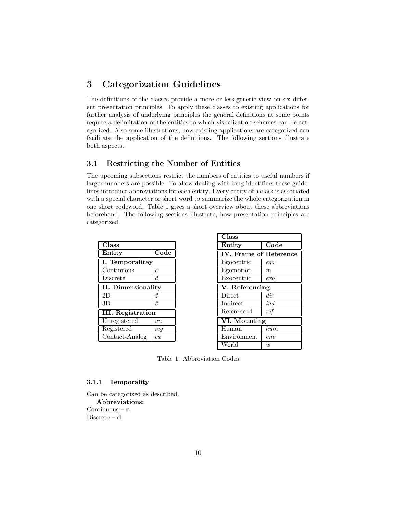#### 3 Categorization Guidelines

The definitions of the classes provide a more or less generic view on six different presentation principles. To apply these classes to existing applications for further analysis of underlying principles the general definitions at some points require a delimitation of the entities to which visualization schemes can be categorized. Also some illustrations, how existing applications are categorized can facilitate the application of the definitions. The following sections illustrate both aspects.

#### 3.1 Restricting the Number of Entities

The upcoming subsections restrict the numbers of entities to useful numbers if larger numbers are possible. To allow dealing with long identifiers these guidelines introduce abbreviations for each entity. Every entity of a class is associated with a special character or short word to summarize the whole categorization in one short codeword. Table 1 gives a short overview about these abbreviations beforehand. The following sections illustrate, how presentation principles are categorized.

| Class                     |                    |  |  |  |
|---------------------------|--------------------|--|--|--|
| Entity                    | Code               |  |  |  |
| I. Temporalitay           |                    |  |  |  |
| Continuous                | $\mathcal C$       |  |  |  |
| Discrete                  | d.                 |  |  |  |
| <b>II.</b> Dimensionality |                    |  |  |  |
| 2D                        | 2                  |  |  |  |
| 3D                        | 3                  |  |  |  |
| <b>III.</b> Registration  |                    |  |  |  |
| Unregistered              | $\imath\iota\iota$ |  |  |  |
| Registered                | req                |  |  |  |
| Contact-Analog            | ca                 |  |  |  |

| Class                               |                            |  |  |
|-------------------------------------|----------------------------|--|--|
| Entity                              | $\mathrm{\overline{C}ode}$ |  |  |
| <b>IV.</b> Frame of Reference       |                            |  |  |
| Egocentric                          | ego                        |  |  |
| Egomotion                           | $\,m$                      |  |  |
| Exocentric                          | $_{exo}$                   |  |  |
| $\overline{\text{V}}$ . Referencing |                            |  |  |
| Direct                              | dir                        |  |  |
| Indirect                            | ind                        |  |  |
| Referenced                          | ref                        |  |  |
| VI. Mounting                        |                            |  |  |
| Human                               | $_{hum}$                   |  |  |
| Environment                         | env                        |  |  |
| World                               | $\boldsymbol{w}$           |  |  |

Table 1: Abbreviation Codes

#### 3.1.1 Temporality

Can be categorized as described. Abbreviations: Continuous –  $c$ Discrete – d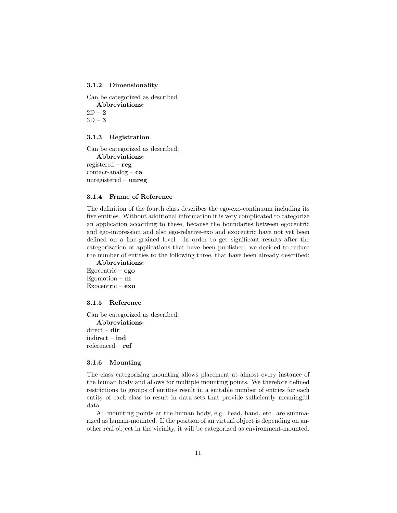#### 3.1.2 Dimensionality

Can be categorized as described.

Abbreviations:

 $2D - 2$  $3D - 3$ 

#### 3.1.3 Registration

Can be categorized as described. Abbreviations: registered – reg  $contact$ -analog –  $ca$ unregistered – unreg

#### 3.1.4 Frame of Reference

The definition of the fourth class describes the ego-exo-continuum including its five entities. Without additional information it is very complicated to categorize an application according to these, because the boundaries between egocentric and ego-impression and also ego-relative-exo and exocentric have not yet been defined on a fine-grained level. In order to get significant results after the categorization of applications that have been published, we decided to reduce the number of entities to the following three, that have been already described:

Abbreviations: Egocentric – ego Egomotion –  $m$ Exocentric – exo

#### 3.1.5 Reference

Can be categorized as described. Abbreviations: direct – dir indirect – ind referenced – ref

#### 3.1.6 Mounting

The class categorizing mounting allows placement at almost every instance of the human body and allows for multiple mounting points. We therefore defined restrictions to groups of entities result in a suitable number of entries for each entity of each class to result in data sets that provide sufficiently meaningful data.

All mounting points at the human body, e.g. head, hand, etc. are summarized as human-mounted. If the position of an virtual object is depending on another real object in the vicinity, it will be categorized as environment-mounted.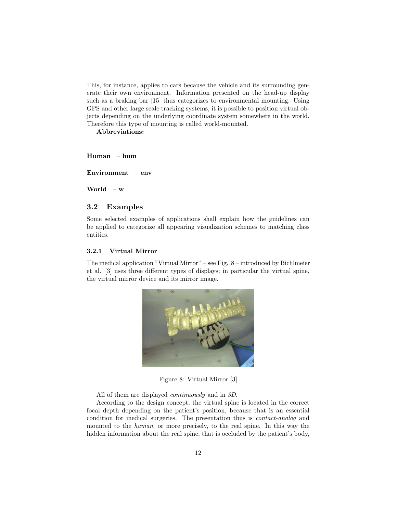This, for instance, applies to cars because the vehicle and its surrounding generate their own environment. Information presented on the head-up display such as a braking bar [15] thus categorizes to environmental mounting. Using GPS and other large scale tracking systems, it is possible to position virtual objects depending on the underlying coordinate system somewhere in the world. Therefore this type of mounting is called world-mounted.

Abbreviations:

Human – hum

Environment – env

World – w

#### 3.2 Examples

Some selected examples of applications shall explain how the guidelines can be applied to categorize all appearing visualization schemes to matching class entities.

#### 3.2.1 Virtual Mirror

The medical application "Virtual Mirror" – see Fig. 8 – introduced by Bichlmeier et al. [3] uses three different types of displays; in particular the virtual spine, the virtual mirror device and its mirror image.



Figure 8: Virtual Mirror [3]

All of them are displayed continuously and in 3D.

According to the design concept, the virtual spine is located in the correct focal depth depending on the patient's position, because that is an essential condition for medical surgeries. The presentation thus is contact-analog and mounted to the human, or more precisely, to the real spine. In this way the hidden information about the real spine, that is occluded by the patient's body,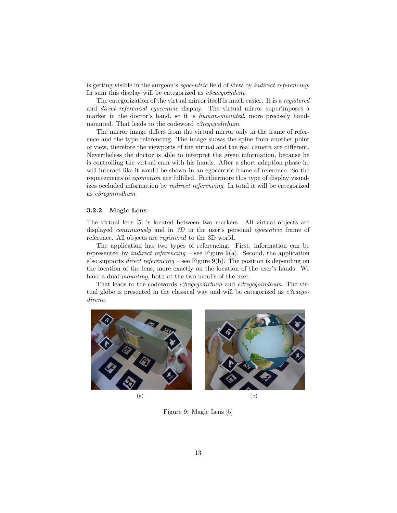is getting visible in the surgeon's egocentric field of view by indirect referencing. In sum this display will be categorized as *c3caegoindenv*.

The categorization of the virtual mirror itself is much easier. It is a registered and direct referenced egocentric display. The virtual mirror superimposes a marker in the doctor's hand, so it is *human-mounted*, more precisely handmounted. That leads to the codeword *c3regegodirhum*.

The mirror image differs from the virtual mirror only in the frame of reference and the type referencing. The image shows the spine from another point of view, therefore the viewports of the virtual and the real camera are different. Nevertheless the doctor is able to interpret the given information, because he is controlling the virtual cam with his hands. After a short adaption phase he will interact like it would be shown in an egocentric frame of reference. So the requirements of egomotion are fulfilled. Furthermore this type of display visualizes occluded information by indirect referencing. In total it will be categorized as c3regmindhum.

#### 3.2.2 Magic Lens

The virtual lens [5] is located between two markers. All virtual objects are displayed *continuously* and in 3D in the user's personal *egocentric* frame of reference. All objects are registered to the 3D world.

The application has two types of referencing. First, information can be represented by *indirect referencing* – see Figure 9(a). Second, the application also supports *direct referencing* – see Figure 9(b). The position is depending on the location of the lens, more exactly on the location of the user's hands. We have a dual *mounting*, both at the two hand's of the user.

That leads to the codewords *c3regegodirhum* and *c3regegoindhum*. The virtual globe is presented in the classical way and will be categorized as  $c3caego$ direnv.



Figure 9: Magic Lens [5]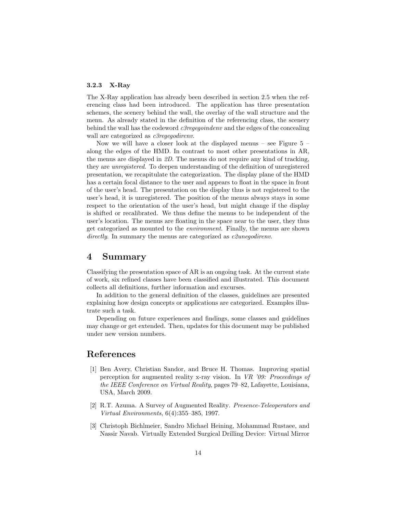#### 3.2.3 X-Ray

The X-Ray application has already been described in section 2.5 when the referencing class had been introduced. The application has three presentation schemes, the scenery behind the wall, the overlay of the wall structure and the menu. As already stated in the definition of the referencing class, the scenery behind the wall has the codeword  $c3regegointenv$  and the edges of the concealing wall are categorized as *c3regegodirenv*.

Now we will have a closer look at the displayed menus – see Figure  $5$  – along the edges of the HMD. In contrast to most other presentations in AR, the menus are displayed in 2D. The menus do not require any kind of tracking, they are unregistered. To deepen understanding of the definition of unregistered presentation, we recapitulate the categorization. The display plane of the HMD has a certain focal distance to the user and appears to float in the space in front of the user's head. The presentation on the display thus is not registered to the user's head, it is unregistered. The position of the menus always stays in some respect to the orientation of the user's head, but might change if the display is shifted or recalibrated. We thus define the menus to be independent of the user's location. The menus are floating in the space near to the user, they thus get categorized as mounted to the environment. Finally, the menus are shown directly. In summary the menus are categorized as *c2unegodirenv*.

#### 4 Summary

Classifying the presentation space of AR is an ongoing task. At the current state of work, six refined classes have been classified and illustrated. This document collects all definitions, further information and excurses.

In addition to the general definition of the classes, guidelines are presented explaining how design concepts or applications are categorized. Examples illustrate such a task.

Depending on future experiences and findings, some classes and guidelines may change or get extended. Then, updates for this document may be published under new version numbers.

#### References

- [1] Ben Avery, Christian Sandor, and Bruce H. Thomas. Improving spatial perception for augmented reality x-ray vision. In VR '09: Proceedings of the IEEE Conference on Virtual Reality, pages 79–82, Lafayette, Louisiana, USA, March 2009.
- [2] R.T. Azuma. A Survey of Augmented Reality. Presence-Teleoperators and Virtual Environments, 6(4):355–385, 1997.
- [3] Christoph Bichlmeier, Sandro Michael Heining, Mohammad Rustaee, and Nassir Navab. Virtually Extended Surgical Drilling Device: Virtual Mirror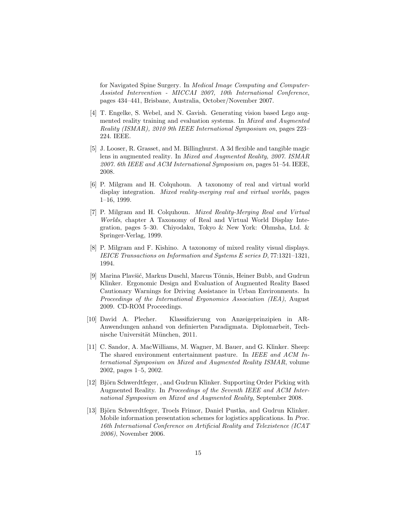for Navigated Spine Surgery. In Medical Image Computing and Computer-Assisted Intervention - MICCAI 2007, 10th International Conference, pages 434–441, Brisbane, Australia, October/November 2007.

- [4] T. Engelke, S. Webel, and N. Gavish. Generating vision based Lego augmented reality training and evaluation systems. In Mixed and Augmented Reality (ISMAR), 2010 9th IEEE International Symposium on, pages 223– 224. IEEE.
- [5] J. Looser, R. Grasset, and M. Billinghurst. A 3d flexible and tangible magic lens in augmented reality. In Mixed and Augmented Reality, 2007. ISMAR 2007. 6th IEEE and ACM International Symposium on, pages 51–54. IEEE, 2008.
- [6] P. Milgram and H. Colquhoun. A taxonomy of real and virtual world display integration. Mixed reality-merging real and virtual worlds, pages 1–16, 1999.
- [7] P. Milgram and H. Colquhoun. Mixed Reality-Merging Real and Virtual Worlds, chapter A Taxonomy of Real and Virtual World Display Integration, pages 5–30. Chiyodaku, Tokyo & New York: Ohmsha, Ltd. & Springer-Verlag, 1999.
- [8] P. Milgram and F. Kishino. A taxonomy of mixed reality visual displays. IEICE Transactions on Information and Systems E series D, 77:1321–1321, 1994.
- [9] Marina Plavšić, Markus Duschl, Marcus Tönnis, Heiner Bubb, and Gudrun Klinker. Ergonomic Design and Evaluation of Augmented Reality Based Cautionary Warnings for Driving Assistance in Urban Environments. In Proceedings of the International Ergonomics Association (IEA), August 2009. CD-ROM Proceedings.
- [10] David A. Plecher. Klassifizierung von Anzeigeprinzipien in AR-Anwendungen anhand von definierten Paradigmata. Diplomarbeit, Technische Universität München, 2011.
- [11] C. Sandor, A. MacWilliams, M. Wagner, M. Bauer, and G. Klinker. Sheep: The shared environment entertainment pasture. In IEEE and ACM International Symposium on Mixed and Augmented Reality ISMAR, volume 2002, pages 1–5, 2002.
- [12] Björn Schwerdtfeger, , and Gudrun Klinker. Supporting Order Picking with Augmented Reality. In Proceedings of the Seventh IEEE and ACM International Symposium on Mixed and Augmented Reality, September 2008.
- [13] Björn Schwerdtfeger, Troels Frimor, Daniel Pustka, and Gudrun Klinker. Mobile information presentation schemes for logistics applications. In Proc. 16th International Conference on Artificial Reality and Telexistence (ICAT 2006), November 2006.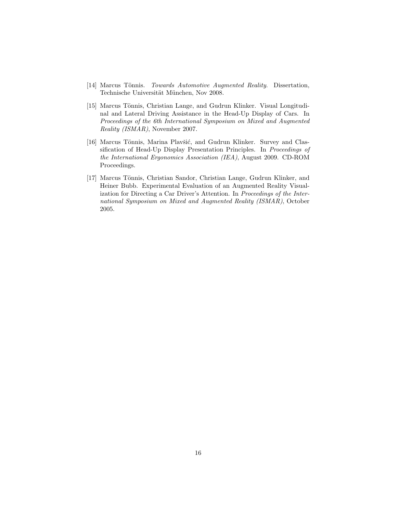- [14] Marcus Tönnis. Towards Automotive Augmented Reality. Dissertation, Technische Universität München, Nov 2008.
- [15] Marcus Tönnis, Christian Lange, and Gudrun Klinker. Visual Longitudinal and Lateral Driving Assistance in the Head-Up Display of Cars. In Proceedings of the 6th International Symposium on Mixed and Augmented Reality (ISMAR), November 2007.
- [16] Marcus Tönnis, Marina Plavšić, and Gudrun Klinker. Survey and Classification of Head-Up Display Presentation Principles. In Proceedings of the International Ergonomics Association (IEA), August 2009. CD-ROM Proceedings.
- [17] Marcus Tönnis, Christian Sandor, Christian Lange, Gudrun Klinker, and Heiner Bubb. Experimental Evaluation of an Augmented Reality Visualization for Directing a Car Driver's Attention. In Proceedings of the International Symposium on Mixed and Augmented Reality (ISMAR), October 2005.